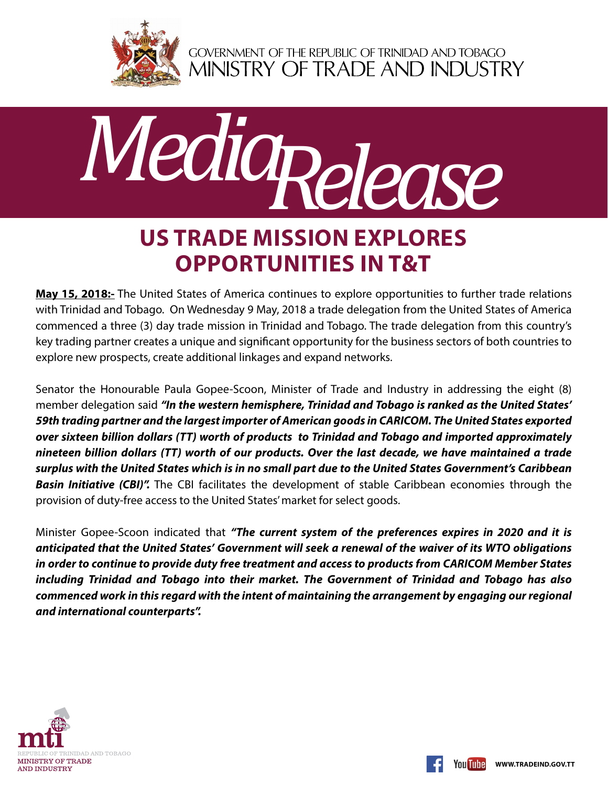

GOVERNMENT OF THE REPUBLIC OF TRINIDAD AND TOBAGO<br>MINISTRY OF TRADE AND INDUSTRY



## **US Trade Mission explores opportunities in T&T**

**May 15, 2018:-** The United States of America continues to explore opportunities to further trade relations with Trinidad and Tobago. On Wednesday 9 May, 2018 a trade delegation from the United States of America commenced a three (3) day trade mission in Trinidad and Tobago. The trade delegation from this country's key trading partner creates a unique and significant opportunity for the business sectors of both countries to explore new prospects, create additional linkages and expand networks.

Senator the Honourable Paula Gopee-Scoon, Minister of Trade and Industry in addressing the eight (8) member delegation said *"In the western hemisphere, Trinidad and Tobago is ranked as the United States' 59th trading partner and the largest importer of American goods in CARICOM. The United States exported over sixteen billion dollars (TT) worth of products to Trinidad and Tobago and imported approximately nineteen billion dollars (TT) worth of our products. Over the last decade, we have maintained a trade surplus with the United States which is in no small part due to the United States Government's Caribbean*  **Basin Initiative (CBI)".** The CBI facilitates the development of stable Caribbean economies through the provision of duty-free access to the United States' market for select goods.

Minister Gopee-Scoon indicated that *"The current system of the preferences expires in 2020 and it is anticipated that the United States' Government will seek a renewal of the waiver of its WTO obligations in order to continue to provide duty free treatment and access to products from CARICOM Member States including Trinidad and Tobago into their market. The Government of Trinidad and Tobago has also commenced work in this regard with the intent of maintaining the arrangement by engaging our regional and international counterparts".*